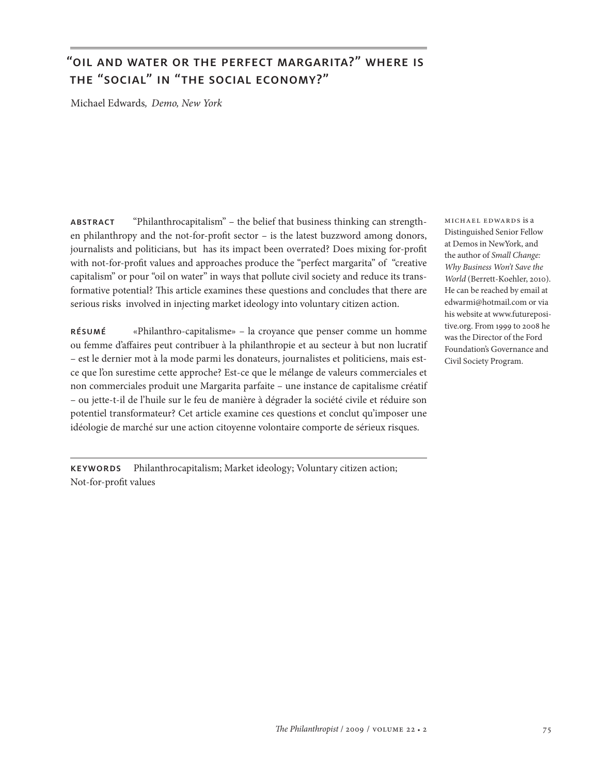## "oil and water or the perfect margarita?" where is the "social" in "the social economy?"

Michael Edwards*, Demo, New York*

abstract "Philanthrocapitalism" – the belief that business thinking can strengthen philanthropy and the not-for-profit sector – is the latest buzzword among donors, journalists and politicians, but has its impact been overrated? Does mixing for-profit with not-for-profit values and approaches produce the "perfect margarita" of "creative capitalism" or pour "oil on water" in ways that pollute civil society and reduce its transformative potential? This article examines these questions and concludes that there are serious risks involved in injecting market ideology into voluntary citizen action.

résumé «Philanthro-capitalisme» – la croyance que penser comme un homme ou femme d'affaires peut contribuer à la philanthropie et au secteur à but non lucratif – est le dernier mot à la mode parmi les donateurs, journalistes et politiciens, mais estce que l'on surestime cette approche? Est-ce que le mélange de valeurs commerciales et non commerciales produit une Margarita parfaite – une instance de capitalisme créatif – ou jette-t-il de l'huile sur le feu de manière à dégrader la société civile et réduire son potentiel transformateur? Cet article examine ces questions et conclut qu'imposer une idéologie de marché sur une action citoyenne volontaire comporte de sérieux risques.

keywords Philanthrocapitalism; Market ideology; Voluntary citizen action; Not-for-profit values

michael edwards is a Distinguished Senior Fellow at Demos in NewYork, and the author of *Small Change: Why Business Won't Save the World* (Berrett-Koehler, 2010). He can be reached by email at edwarmi@hotmail.com or via his website at www.futurepositive.org. From 1999 to 2008 he was the Director of the Ford Foundation's Governance and Civil Society Program.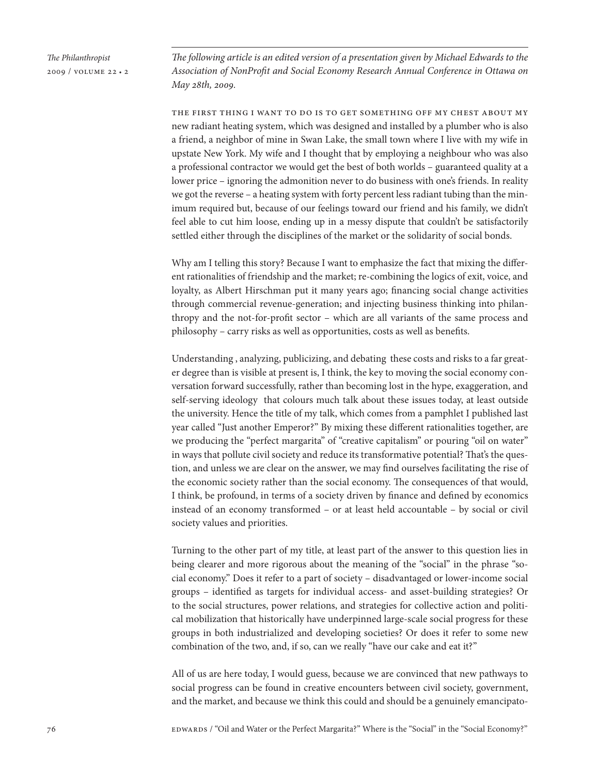*The following article is an edited version of a presentation given by Michael Edwards to the Association of NonProfit and Social Economy Research Annual Conference in Ottawa on May 28th, 2009.*

the first thing i want to do is to get something off my chest about my new radiant heating system, which was designed and installed by a plumber who is also a friend, a neighbor of mine in Swan Lake, the small town where I live with my wife in upstate New York. My wife and I thought that by employing a neighbour who was also a professional contractor we would get the best of both worlds – guaranteed quality at a lower price – ignoring the admonition never to do business with one's friends. In reality we got the reverse – a heating system with forty percent less radiant tubing than the minimum required but, because of our feelings toward our friend and his family, we didn't feel able to cut him loose, ending up in a messy dispute that couldn't be satisfactorily settled either through the disciplines of the market or the solidarity of social bonds.

Why am I telling this story? Because I want to emphasize the fact that mixing the different rationalities of friendship and the market; re-combining the logics of exit, voice, and loyalty, as Albert Hirschman put it many years ago; financing social change activities through commercial revenue-generation; and injecting business thinking into philanthropy and the not-for-profit sector – which are all variants of the same process and philosophy – carry risks as well as opportunities, costs as well as benefits.

Understanding , analyzing, publicizing, and debating these costs and risks to a far greater degree than is visible at present is, I think, the key to moving the social economy conversation forward successfully, rather than becoming lost in the hype, exaggeration, and self-serving ideology that colours much talk about these issues today, at least outside the university. Hence the title of my talk, which comes from a pamphlet I published last year called "Just another Emperor?" By mixing these different rationalities together, are we producing the "perfect margarita" of "creative capitalism" or pouring "oil on water" in ways that pollute civil society and reduce its transformative potential? That's the question, and unless we are clear on the answer, we may find ourselves facilitating the rise of the economic society rather than the social economy. The consequences of that would, I think, be profound, in terms of a society driven by finance and defined by economics instead of an economy transformed – or at least held accountable – by social or civil society values and priorities.

Turning to the other part of my title, at least part of the answer to this question lies in being clearer and more rigorous about the meaning of the "social" in the phrase "social economy." Does it refer to a part of society – disadvantaged or lower-income social groups – identified as targets for individual access- and asset-building strategies? Or to the social structures, power relations, and strategies for collective action and political mobilization that historically have underpinned large-scale social progress for these groups in both industrialized and developing societies? Or does it refer to some new combination of the two, and, if so, can we really "have our cake and eat it?"

All of us are here today, I would guess, because we are convinced that new pathways to social progress can be found in creative encounters between civil society, government, and the market, and because we think this could and should be a genuinely emancipato-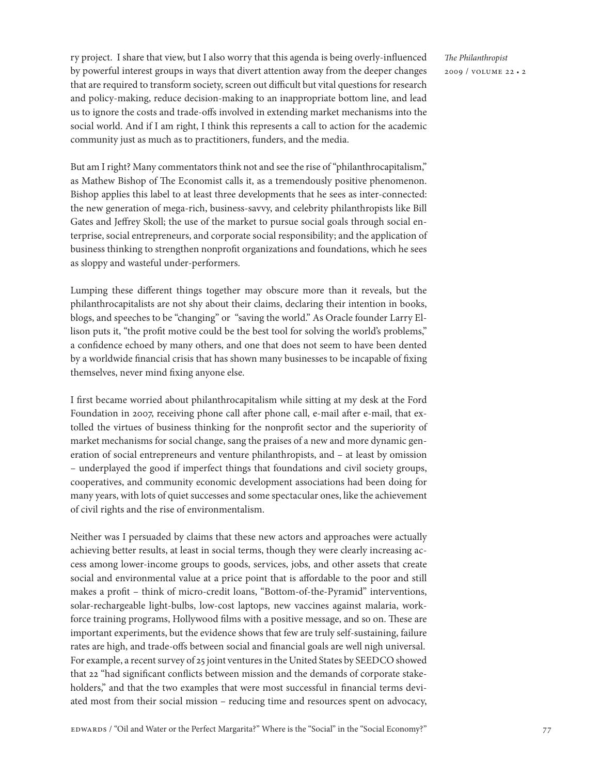ry project. I share that view, but I also worry that this agenda is being overly-influenced by powerful interest groups in ways that divert attention away from the deeper changes that are required to transform society, screen out difficult but vital questions for research and policy-making, reduce decision-making to an inappropriate bottom line, and lead us to ignore the costs and trade-offs involved in extending market mechanisms into the social world. And if I am right, I think this represents a call to action for the academic community just as much as to practitioners, funders, and the media.

But am I right? Many commentators think not and see the rise of "philanthrocapitalism," as Mathew Bishop of The Economist calls it, as a tremendously positive phenomenon. Bishop applies this label to at least three developments that he sees as inter-connected: the new generation of mega-rich, business-savvy, and celebrity philanthropists like Bill Gates and Jeffrey Skoll; the use of the market to pursue social goals through social enterprise, social entrepreneurs, and corporate social responsibility; and the application of business thinking to strengthen nonprofit organizations and foundations, which he sees as sloppy and wasteful under-performers.

Lumping these different things together may obscure more than it reveals, but the philanthrocapitalists are not shy about their claims, declaring their intention in books, blogs, and speeches to be "changing" or "saving the world." As Oracle founder Larry Ellison puts it, "the profit motive could be the best tool for solving the world's problems," a confidence echoed by many others, and one that does not seem to have been dented by a worldwide financial crisis that has shown many businesses to be incapable of fixing themselves, never mind fixing anyone else.

I first became worried about philanthrocapitalism while sitting at my desk at the Ford Foundation in 2007, receiving phone call after phone call, e-mail after e-mail, that extolled the virtues of business thinking for the nonprofit sector and the superiority of market mechanisms for social change, sang the praises of a new and more dynamic generation of social entrepreneurs and venture philanthropists, and – at least by omission – underplayed the good if imperfect things that foundations and civil society groups, cooperatives, and community economic development associations had been doing for many years, with lots of quiet successes and some spectacular ones, like the achievement of civil rights and the rise of environmentalism.

Neither was I persuaded by claims that these new actors and approaches were actually achieving better results, at least in social terms, though they were clearly increasing access among lower-income groups to goods, services, jobs, and other assets that create social and environmental value at a price point that is affordable to the poor and still makes a profit – think of micro-credit loans, "Bottom-of-the-Pyramid" interventions, solar-rechargeable light-bulbs, low-cost laptops, new vaccines against malaria, workforce training programs, Hollywood films with a positive message, and so on. These are important experiments, but the evidence shows that few are truly self-sustaining, failure rates are high, and trade-offs between social and financial goals are well nigh universal. For example, a recent survey of 25 joint ventures in the United States by SEEDCO showed that 22 "had significant conflicts between mission and the demands of corporate stakeholders," and that the two examples that were most successful in financial terms deviated most from their social mission – reducing time and resources spent on advocacy,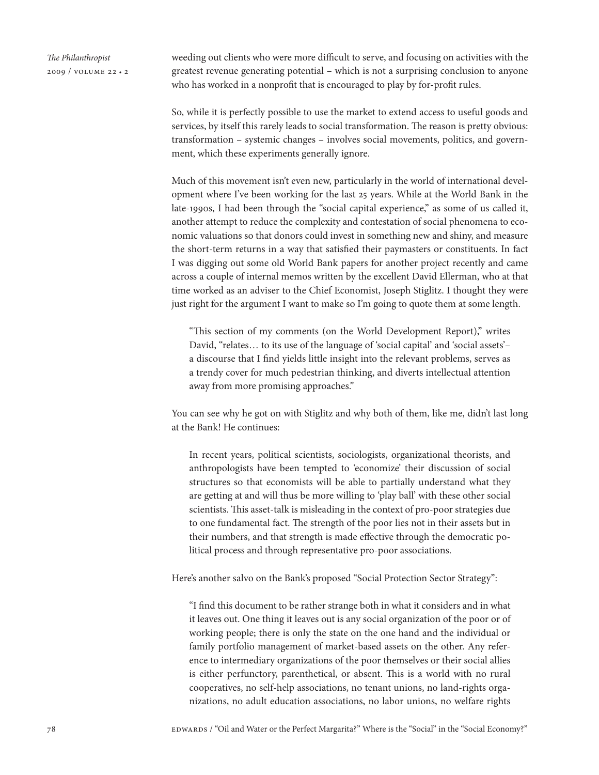weeding out clients who were more difficult to serve, and focusing on activities with the greatest revenue generating potential – which is not a surprising conclusion to anyone who has worked in a nonprofit that is encouraged to play by for-profit rules.

So, while it is perfectly possible to use the market to extend access to useful goods and services, by itself this rarely leads to social transformation. The reason is pretty obvious: transformation – systemic changes – involves social movements, politics, and government, which these experiments generally ignore.

Much of this movement isn't even new, particularly in the world of international development where I've been working for the last 25 years. While at the World Bank in the late-1990s, I had been through the "social capital experience," as some of us called it, another attempt to reduce the complexity and contestation of social phenomena to economic valuations so that donors could invest in something new and shiny, and measure the short-term returns in a way that satisfied their paymasters or constituents. In fact I was digging out some old World Bank papers for another project recently and came across a couple of internal memos written by the excellent David Ellerman, who at that time worked as an adviser to the Chief Economist, Joseph Stiglitz. I thought they were just right for the argument I want to make so I'm going to quote them at some length.

"This section of my comments (on the World Development Report)," writes David, "relates… to its use of the language of 'social capital' and 'social assets'– a discourse that I find yields little insight into the relevant problems, serves as a trendy cover for much pedestrian thinking, and diverts intellectual attention away from more promising approaches."

You can see why he got on with Stiglitz and why both of them, like me, didn't last long at the Bank! He continues:

In recent years, political scientists, sociologists, organizational theorists, and anthropologists have been tempted to 'economize' their discussion of social structures so that economists will be able to partially understand what they are getting at and will thus be more willing to 'play ball' with these other social scientists. This asset-talk is misleading in the context of pro-poor strategies due to one fundamental fact. The strength of the poor lies not in their assets but in their numbers, and that strength is made effective through the democratic political process and through representative pro-poor associations.

Here's another salvo on the Bank's proposed "Social Protection Sector Strategy":

"I find this document to be rather strange both in what it considers and in what it leaves out. One thing it leaves out is any social organization of the poor or of working people; there is only the state on the one hand and the individual or family portfolio management of market-based assets on the other. Any reference to intermediary organizations of the poor themselves or their social allies is either perfunctory, parenthetical, or absent. This is a world with no rural cooperatives, no self-help associations, no tenant unions, no land-rights organizations, no adult education associations, no labor unions, no welfare rights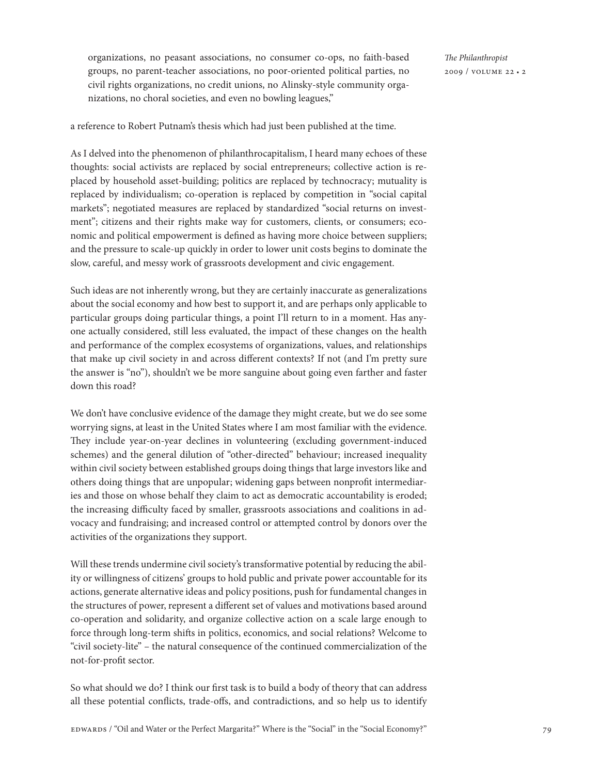a reference to Robert Putnam's thesis which had just been published at the time.

As I delved into the phenomenon of philanthrocapitalism, I heard many echoes of these thoughts: social activists are replaced by social entrepreneurs; collective action is replaced by household asset-building; politics are replaced by technocracy; mutuality is replaced by individualism; co-operation is replaced by competition in "social capital markets"; negotiated measures are replaced by standardized "social returns on investment"; citizens and their rights make way for customers, clients, or consumers; economic and political empowerment is defined as having more choice between suppliers; and the pressure to scale-up quickly in order to lower unit costs begins to dominate the slow, careful, and messy work of grassroots development and civic engagement.

Such ideas are not inherently wrong, but they are certainly inaccurate as generalizations about the social economy and how best to support it, and are perhaps only applicable to particular groups doing particular things, a point I'll return to in a moment. Has anyone actually considered, still less evaluated, the impact of these changes on the health and performance of the complex ecosystems of organizations, values, and relationships that make up civil society in and across different contexts? If not (and I'm pretty sure the answer is "no"), shouldn't we be more sanguine about going even farther and faster down this road?

We don't have conclusive evidence of the damage they might create, but we do see some worrying signs, at least in the United States where I am most familiar with the evidence. They include year-on-year declines in volunteering (excluding government-induced schemes) and the general dilution of "other-directed" behaviour; increased inequality within civil society between established groups doing things that large investors like and others doing things that are unpopular; widening gaps between nonprofit intermediaries and those on whose behalf they claim to act as democratic accountability is eroded; the increasing difficulty faced by smaller, grassroots associations and coalitions in advocacy and fundraising; and increased control or attempted control by donors over the activities of the organizations they support.

Will these trends undermine civil society's transformative potential by reducing the ability or willingness of citizens' groups to hold public and private power accountable for its actions, generate alternative ideas and policy positions, push for fundamental changes in the structures of power, represent a different set of values and motivations based around co-operation and solidarity, and organize collective action on a scale large enough to force through long-term shifts in politics, economics, and social relations? Welcome to "civil society-lite" – the natural consequence of the continued commercialization of the not-for-profit sector.

So what should we do? I think our first task is to build a body of theory that can address all these potential conflicts, trade-offs, and contradictions, and so help us to identify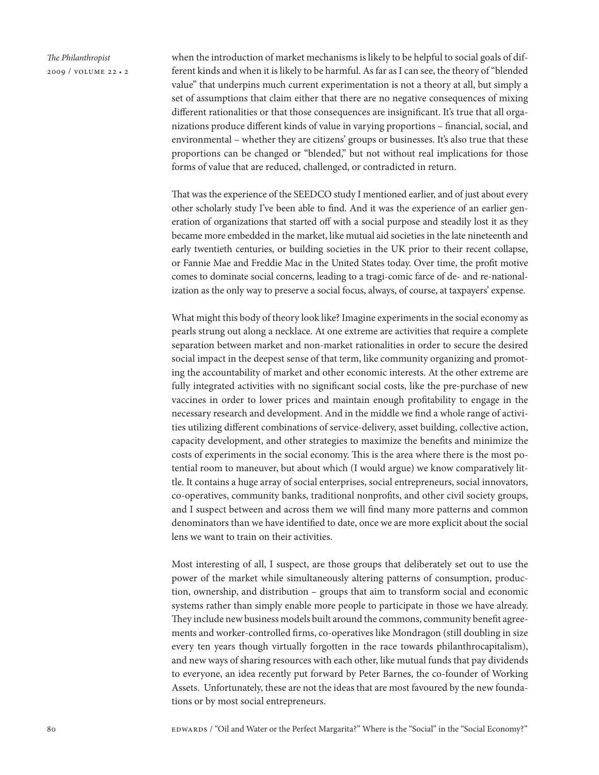

when the introduction of market mechanisms is likely to be helpful to social goals of different kinds and when it is likely to be harmful. As far as I can see, the theory of "blended value" that underpins much current experimentation is not a theory at all, but simply a set of assumptions that claim either that there are no negative consequences of mixing different rationalities or that those consequences are insignificant. It's true that all organizations produce different kinds of value in varying proportions – financial, social, and environmental – whether they are citizens' groups or businesses. It's also true that these proportions can be changed or "blended," but not without real implications for those forms of value that are reduced, challenged, or contradicted in return.

That was the experience of the SEEDCO study I mentioned earlier, and of just about every other scholarly study I've been able to find. And it was the experience of an earlier generation of organizations that started off with a social purpose and steadily lost it as they became more embedded in the market, like mutual aid societies in the late nineteenth and early twentieth centuries, or building societies in the UK prior to their recent collapse, or Fannie Mae and Freddie Mac in the United States today. Over time, the profit motive comes to dominate social concerns, leading to a tragi-comic farce of de- and re-nationalization as the only way to preserve a social focus, always, of course, at taxpayers' expense.

What might this body of theory look like? Imagine experiments in the social economy as pearls strung out along a necklace. At one extreme are activities that require a complete separation between market and non-market rationalities in order to secure the desired social impact in the deepest sense of that term, like community organizing and promoting the accountability of market and other economic interests. At the other extreme are fully integrated activities with no significant social costs, like the pre-purchase of new vaccines in order to lower prices and maintain enough profitability to engage in the necessary research and development. And in the middle we find a whole range of activities utilizing different combinations of service-delivery, asset building, collective action, capacity development, and other strategies to maximize the benefits and minimize the costs of experiments in the social economy. This is the area where there is the most potential room to maneuver, but about which (I would argue) we know comparatively little. It contains a huge array of social enterprises, social entrepreneurs, social innovators, co-operatives, community banks, traditional nonprofits, and other civil society groups, and I suspect between and across them we will find many more patterns and common denominators than we have identified to date, once we are more explicit about the social lens we want to train on their activities.

Most interesting of all, I suspect, are those groups that deliberately set out to use the power of the market while simultaneously altering patterns of consumption, production, ownership, and distribution – groups that aim to transform social and economic systems rather than simply enable more people to participate in those we have already. They include new business models built around the commons, community benefit agreements and worker-controlled firms, co-operatives like Mondragon (still doubling in size every ten years though virtually forgotten in the race towards philanthrocapitalism), and new ways of sharing resources with each other, like mutual funds that pay dividends to everyone, an idea recently put forward by Peter Barnes, the co-founder of Working Assets. Unfortunately, these are not the ideas that are most favoured by the new foundations or by most social entrepreneurs.